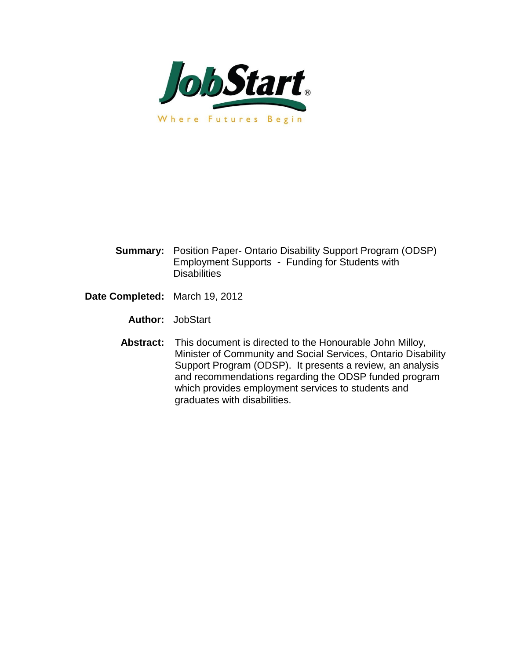

- **Summary:** Position Paper- Ontario Disability Support Program (ODSP) Employment Supports - Funding for Students with **Disabilities**
- **Date Completed:** March 19, 2012

**Author:** JobStart

 **Abstract:** This document is directed to the Honourable John Milloy, Minister of Community and Social Services, Ontario Disability Support Program (ODSP). It presents a review, an analysis and recommendations regarding the ODSP funded program which provides employment services to students and graduates with disabilities.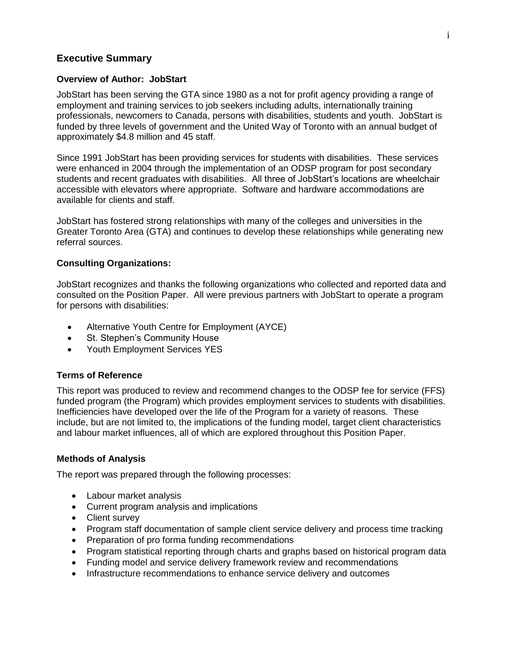#### **Executive Summary**

#### **Overview of Author: JobStart**

JobStart has been serving the GTA since 1980 as a not for profit agency providing a range of employment and training services to job seekers including adults, internationally training professionals, newcomers to Canada, persons with disabilities, students and youth. JobStart is funded by three levels of government and the United Way of Toronto with an annual budget of approximately \$4.8 million and 45 staff.

Since 1991 JobStart has been providing services for students with disabilities. These services were enhanced in 2004 through the implementation of an ODSP program for post secondary students and recent graduates with disabilities. All three of JobStart's locations are wheelchair accessible with elevators where appropriate. Software and hardware accommodations are available for clients and staff.

JobStart has fostered strong relationships with many of the colleges and universities in the Greater Toronto Area (GTA) and continues to develop these relationships while generating new referral sources.

#### **Consulting Organizations:**

JobStart recognizes and thanks the following organizations who collected and reported data and consulted on the Position Paper. All were previous partners with JobStart to operate a program for persons with disabilities:

- Alternative Youth Centre for Employment (AYCE)
- St. Stephen's Community House
- Youth Employment Services YES

#### **Terms of Reference**

This report was produced to review and recommend changes to the ODSP fee for service (FFS) funded program (the Program) which provides employment services to students with disabilities. Inefficiencies have developed over the life of the Program for a variety of reasons. These include, but are not limited to, the implications of the funding model, target client characteristics and labour market influences, all of which are explored throughout this Position Paper.

#### **Methods of Analysis**

The report was prepared through the following processes:

- Labour market analysis
- Current program analysis and implications
- Client survey
- Program staff documentation of sample client service delivery and process time tracking
- Preparation of pro forma funding recommendations
- Program statistical reporting through charts and graphs based on historical program data
- Funding model and service delivery framework review and recommendations
- Infrastructure recommendations to enhance service delivery and outcomes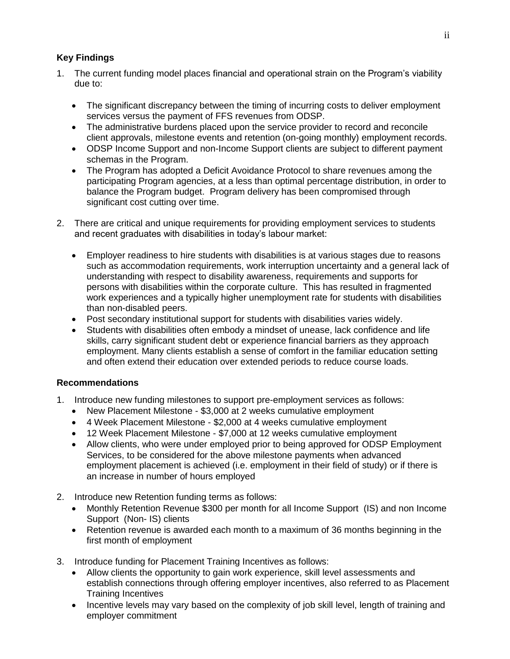#### **Key Findings**

- 1. The current funding model places financial and operational strain on the Program's viability due to:
	- The significant discrepancy between the timing of incurring costs to deliver employment services versus the payment of FFS revenues from ODSP.
	- The administrative burdens placed upon the service provider to record and reconcile client approvals, milestone events and retention (on-going monthly) employment records.
	- ODSP Income Support and non-Income Support clients are subject to different payment schemas in the Program.
	- The Program has adopted a Deficit Avoidance Protocol to share revenues among the participating Program agencies, at a less than optimal percentage distribution, in order to balance the Program budget. Program delivery has been compromised through significant cost cutting over time.
- 2. There are critical and unique requirements for providing employment services to students and recent graduates with disabilities in today's labour market:
	- Employer readiness to hire students with disabilities is at various stages due to reasons such as accommodation requirements, work interruption uncertainty and a general lack of understanding with respect to disability awareness, requirements and supports for persons with disabilities within the corporate culture. This has resulted in fragmented work experiences and a typically higher unemployment rate for students with disabilities than non-disabled peers.
	- Post secondary institutional support for students with disabilities varies widely.
	- Students with disabilities often embody a mindset of unease, lack confidence and life skills, carry significant student debt or experience financial barriers as they approach employment. Many clients establish a sense of comfort in the familiar education setting and often extend their education over extended periods to reduce course loads.

#### **Recommendations**

- 1. Introduce new funding milestones to support pre-employment services as follows:
	- New Placement Milestone \$3,000 at 2 weeks cumulative employment
	- 4 Week Placement Milestone \$2,000 at 4 weeks cumulative employment
	- 12 Week Placement Milestone \$7,000 at 12 weeks cumulative employment
	- Allow clients, who were under employed prior to being approved for ODSP Employment Services, to be considered for the above milestone payments when advanced employment placement is achieved (i.e. employment in their field of study) or if there is an increase in number of hours employed
- 2. Introduce new Retention funding terms as follows:
	- Monthly Retention Revenue \$300 per month for all Income Support (IS) and non Income Support (Non- IS) clients
	- Retention revenue is awarded each month to a maximum of 36 months beginning in the first month of employment
- 3. Introduce funding for Placement Training Incentives as follows:
	- Allow clients the opportunity to gain work experience, skill level assessments and establish connections through offering employer incentives, also referred to as Placement Training Incentives
	- Incentive levels may vary based on the complexity of job skill level, length of training and employer commitment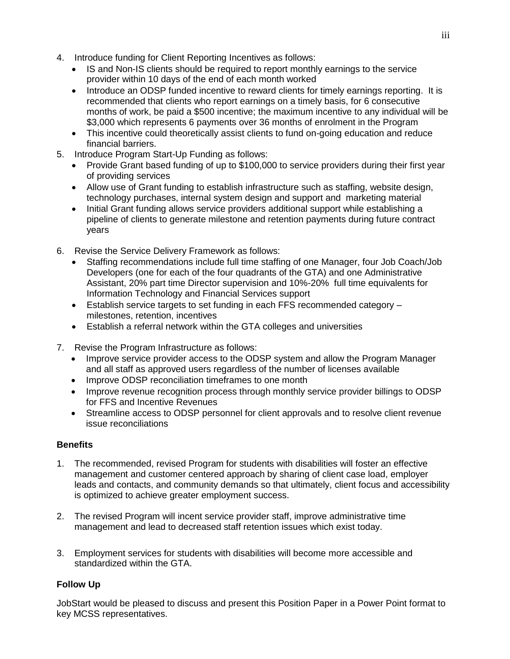- 4. Introduce funding for Client Reporting Incentives as follows:
	- IS and Non-IS clients should be required to report monthly earnings to the service provider within 10 days of the end of each month worked
	- Introduce an ODSP funded incentive to reward clients for timely earnings reporting. It is recommended that clients who report earnings on a timely basis, for 6 consecutive months of work, be paid a \$500 incentive; the maximum incentive to any individual will be \$3,000 which represents 6 payments over 36 months of enrolment in the Program
	- This incentive could theoretically assist clients to fund on-going education and reduce financial barriers.
- 5. Introduce Program Start-Up Funding as follows:
	- Provide Grant based funding of up to \$100,000 to service providers during their first year of providing services
	- Allow use of Grant funding to establish infrastructure such as staffing, website design, technology purchases, internal system design and support and marketing material
	- Initial Grant funding allows service providers additional support while establishing a pipeline of clients to generate milestone and retention payments during future contract years
- 6. Revise the Service Delivery Framework as follows:
	- Staffing recommendations include full time staffing of one Manager, four Job Coach/Job Developers (one for each of the four quadrants of the GTA) and one Administrative Assistant, 20% part time Director supervision and 10%-20% full time equivalents for Information Technology and Financial Services support
	- Establish service targets to set funding in each FFS recommended category milestones, retention, incentives
	- Establish a referral network within the GTA colleges and universities
- 7. Revise the Program Infrastructure as follows:
	- Improve service provider access to the ODSP system and allow the Program Manager and all staff as approved users regardless of the number of licenses available
	- Improve ODSP reconciliation timeframes to one month
	- Improve revenue recognition process through monthly service provider billings to ODSP for FFS and Incentive Revenues
	- Streamline access to ODSP personnel for client approvals and to resolve client revenue issue reconciliations

#### **Benefits**

- 1. The recommended, revised Program for students with disabilities will foster an effective management and customer centered approach by sharing of client case load, employer leads and contacts, and community demands so that ultimately, client focus and accessibility is optimized to achieve greater employment success.
- 2. The revised Program will incent service provider staff, improve administrative time management and lead to decreased staff retention issues which exist today.
- 3. Employment services for students with disabilities will become more accessible and standardized within the GTA.

### **Follow Up**

JobStart would be pleased to discuss and present this Position Paper in a Power Point format to key MCSS representatives.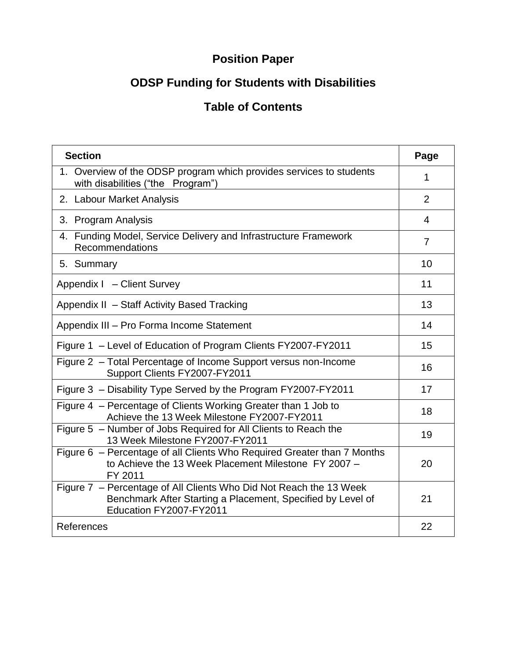# **Position Paper**

# **ODSP Funding for Students with Disabilities**

## **Table of Contents**

| <b>Section</b>                                                                                                                                               | Page           |  |  |  |
|--------------------------------------------------------------------------------------------------------------------------------------------------------------|----------------|--|--|--|
| 1. Overview of the ODSP program which provides services to students<br>with disabilities ("the Program")                                                     |                |  |  |  |
| 2. Labour Market Analysis                                                                                                                                    | 2              |  |  |  |
| 3. Program Analysis                                                                                                                                          | 4              |  |  |  |
| 4. Funding Model, Service Delivery and Infrastructure Framework<br>Recommendations                                                                           | $\overline{7}$ |  |  |  |
| 5. Summary                                                                                                                                                   | 10             |  |  |  |
| Appendix I - Client Survey                                                                                                                                   | 11             |  |  |  |
| Appendix II - Staff Activity Based Tracking                                                                                                                  | 13             |  |  |  |
| Appendix III - Pro Forma Income Statement                                                                                                                    |                |  |  |  |
| Figure 1 - Level of Education of Program Clients FY2007-FY2011                                                                                               |                |  |  |  |
| Figure 2 - Total Percentage of Income Support versus non-Income<br>Support Clients FY2007-FY2011                                                             | 16             |  |  |  |
| Figure 3 - Disability Type Served by the Program FY2007-FY2011                                                                                               | 17             |  |  |  |
| Figure 4 - Percentage of Clients Working Greater than 1 Job to<br>Achieve the 13 Week Milestone FY2007-FY2011                                                | 18             |  |  |  |
| Figure 5 - Number of Jobs Required for All Clients to Reach the<br>13 Week Milestone FY2007-FY2011                                                           | 19             |  |  |  |
| Figure 6 - Percentage of all Clients Who Required Greater than 7 Months<br>to Achieve the 13 Week Placement Milestone FY 2007 -<br>FY 2011                   | 20             |  |  |  |
| Figure 7 - Percentage of All Clients Who Did Not Reach the 13 Week<br>Benchmark After Starting a Placement, Specified by Level of<br>Education FY2007-FY2011 | 21             |  |  |  |
| References                                                                                                                                                   | 22             |  |  |  |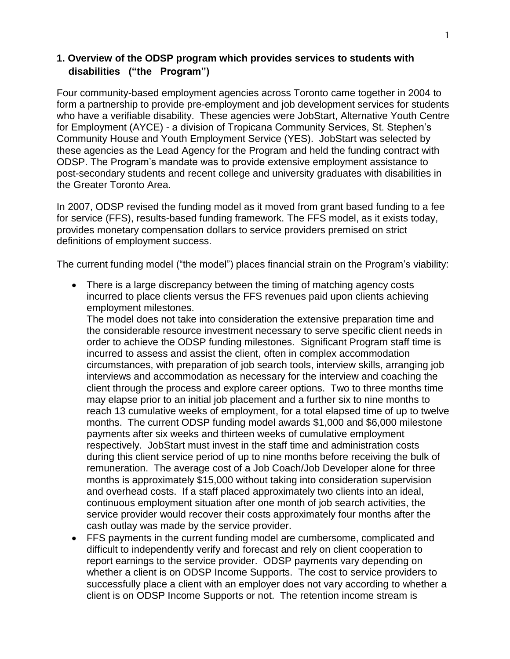#### **1. Overview of the ODSP program which provides services to students with disabilities ("the Program")**

Four community-based employment agencies across Toronto came together in 2004 to form a partnership to provide pre-employment and job development services for students who have a verifiable disability. These agencies were JobStart, Alternative Youth Centre for Employment (AYCE) - a division of Tropicana Community Services, St. Stephen's Community House and Youth Employment Service (YES). JobStart was selected by these agencies as the Lead Agency for the Program and held the funding contract with ODSP. The Program's mandate was to provide extensive employment assistance to post-secondary students and recent college and university graduates with disabilities in the Greater Toronto Area.

In 2007, ODSP revised the funding model as it moved from grant based funding to a fee for service (FFS), results-based funding framework. The FFS model, as it exists today, provides monetary compensation dollars to service providers premised on strict definitions of employment success.

The current funding model ("the model") places financial strain on the Program's viability:

• There is a large discrepancy between the timing of matching agency costs incurred to place clients versus the FFS revenues paid upon clients achieving employment milestones.

The model does not take into consideration the extensive preparation time and the considerable resource investment necessary to serve specific client needs in order to achieve the ODSP funding milestones. Significant Program staff time is incurred to assess and assist the client, often in complex accommodation circumstances, with preparation of job search tools, interview skills, arranging job interviews and accommodation as necessary for the interview and coaching the client through the process and explore career options. Two to three months time may elapse prior to an initial job placement and a further six to nine months to reach 13 cumulative weeks of employment, for a total elapsed time of up to twelve months. The current ODSP funding model awards \$1,000 and \$6,000 milestone payments after six weeks and thirteen weeks of cumulative employment respectively. JobStart must invest in the staff time and administration costs during this client service period of up to nine months before receiving the bulk of remuneration. The average cost of a Job Coach/Job Developer alone for three months is approximately \$15,000 without taking into consideration supervision and overhead costs. If a staff placed approximately two clients into an ideal, continuous employment situation after one month of job search activities, the service provider would recover their costs approximately four months after the cash outlay was made by the service provider.

 FFS payments in the current funding model are cumbersome, complicated and difficult to independently verify and forecast and rely on client cooperation to report earnings to the service provider. ODSP payments vary depending on whether a client is on ODSP Income Supports. The cost to service providers to successfully place a client with an employer does not vary according to whether a client is on ODSP Income Supports or not. The retention income stream is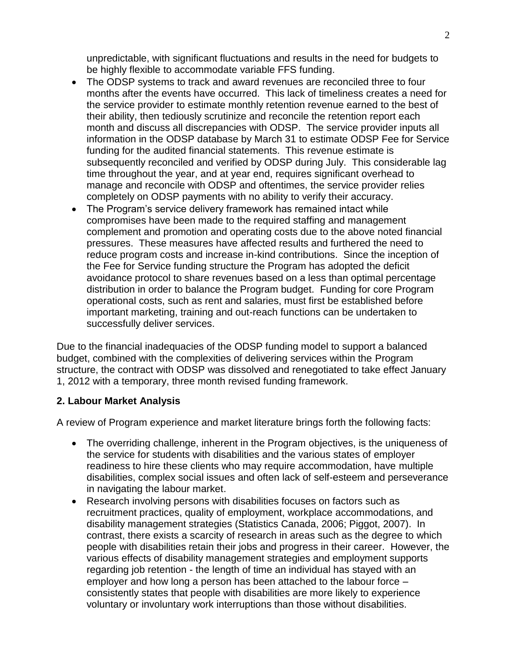unpredictable, with significant fluctuations and results in the need for budgets to be highly flexible to accommodate variable FFS funding.

- The ODSP systems to track and award revenues are reconciled three to four months after the events have occurred. This lack of timeliness creates a need for the service provider to estimate monthly retention revenue earned to the best of their ability, then tediously scrutinize and reconcile the retention report each month and discuss all discrepancies with ODSP. The service provider inputs all information in the ODSP database by March 31 to estimate ODSP Fee for Service funding for the audited financial statements. This revenue estimate is subsequently reconciled and verified by ODSP during July. This considerable lag time throughout the year, and at year end, requires significant overhead to manage and reconcile with ODSP and oftentimes, the service provider relies completely on ODSP payments with no ability to verify their accuracy.
- The Program's service delivery framework has remained intact while compromises have been made to the required staffing and management complement and promotion and operating costs due to the above noted financial pressures. These measures have affected results and furthered the need to reduce program costs and increase in-kind contributions. Since the inception of the Fee for Service funding structure the Program has adopted the deficit avoidance protocol to share revenues based on a less than optimal percentage distribution in order to balance the Program budget. Funding for core Program operational costs, such as rent and salaries, must first be established before important marketing, training and out-reach functions can be undertaken to successfully deliver services.

Due to the financial inadequacies of the ODSP funding model to support a balanced budget, combined with the complexities of delivering services within the Program structure, the contract with ODSP was dissolved and renegotiated to take effect January 1, 2012 with a temporary, three month revised funding framework.

#### **2. Labour Market Analysis**

A review of Program experience and market literature brings forth the following facts:

- The overriding challenge, inherent in the Program objectives, is the uniqueness of the service for students with disabilities and the various states of employer readiness to hire these clients who may require accommodation, have multiple disabilities, complex social issues and often lack of self-esteem and perseverance in navigating the labour market.
- Research involving persons with disabilities focuses on factors such as recruitment practices, quality of employment, workplace accommodations, and disability management strategies (Statistics Canada, 2006; Piggot, 2007). In contrast, there exists a scarcity of research in areas such as the degree to which people with disabilities retain their jobs and progress in their career. However, the various effects of disability management strategies and employment supports regarding job retention - the length of time an individual has stayed with an employer and how long a person has been attached to the labour force – consistently states that people with disabilities are more likely to experience voluntary or involuntary work interruptions than those without disabilities.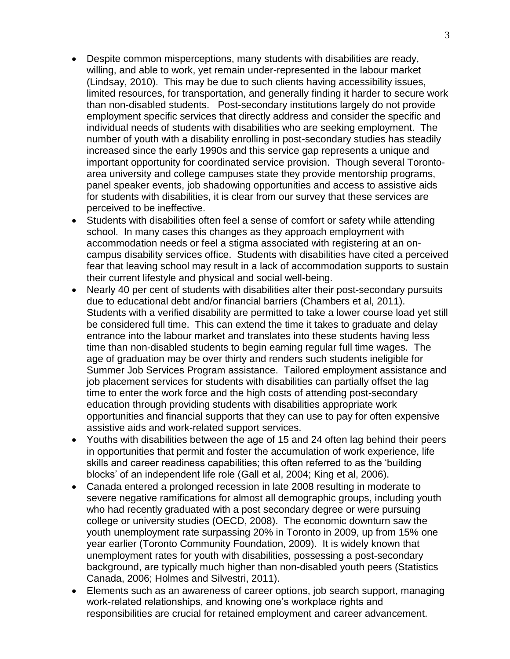- Despite common misperceptions, many students with disabilities are ready, willing, and able to work, yet remain under-represented in the labour market (Lindsay, 2010). This may be due to such clients having accessibility issues, limited resources, for transportation, and generally finding it harder to secure work than non-disabled students. Post-secondary institutions largely do not provide employment specific services that directly address and consider the specific and individual needs of students with disabilities who are seeking employment. The number of youth with a disability enrolling in post-secondary studies has steadily increased since the early 1990s and this service gap represents a unique and important opportunity for coordinated service provision. Though several Torontoarea university and college campuses state they provide mentorship programs, panel speaker events, job shadowing opportunities and access to assistive aids for students with disabilities, it is clear from our survey that these services are perceived to be ineffective.
- Students with disabilities often feel a sense of comfort or safety while attending school. In many cases this changes as they approach employment with accommodation needs or feel a stigma associated with registering at an oncampus disability services office. Students with disabilities have cited a perceived fear that leaving school may result in a lack of accommodation supports to sustain their current lifestyle and physical and social well-being.
- Nearly 40 per cent of students with disabilities alter their post-secondary pursuits due to educational debt and/or financial barriers (Chambers et al, 2011). Students with a verified disability are permitted to take a lower course load yet still be considered full time. This can extend the time it takes to graduate and delay entrance into the labour market and translates into these students having less time than non-disabled students to begin earning regular full time wages. The age of graduation may be over thirty and renders such students ineligible for Summer Job Services Program assistance. Tailored employment assistance and job placement services for students with disabilities can partially offset the lag time to enter the work force and the high costs of attending post-secondary education through providing students with disabilities appropriate work opportunities and financial supports that they can use to pay for often expensive assistive aids and work-related support services.
- Youths with disabilities between the age of 15 and 24 often lag behind their peers in opportunities that permit and foster the accumulation of work experience, life skills and career readiness capabilities; this often referred to as the 'building blocks' of an independent life role (Gall et al, 2004; King et al, 2006).
- Canada entered a prolonged recession in late 2008 resulting in moderate to severe negative ramifications for almost all demographic groups, including youth who had recently graduated with a post secondary degree or were pursuing college or university studies (OECD, 2008). The economic downturn saw the youth unemployment rate surpassing 20% in Toronto in 2009, up from 15% one year earlier (Toronto Community Foundation, 2009). It is widely known that unemployment rates for youth with disabilities, possessing a post-secondary background, are typically much higher than non-disabled youth peers (Statistics Canada, 2006; Holmes and Silvestri, 2011).
- Elements such as an awareness of career options, job search support, managing work-related relationships, and knowing one's workplace rights and responsibilities are crucial for retained employment and career advancement.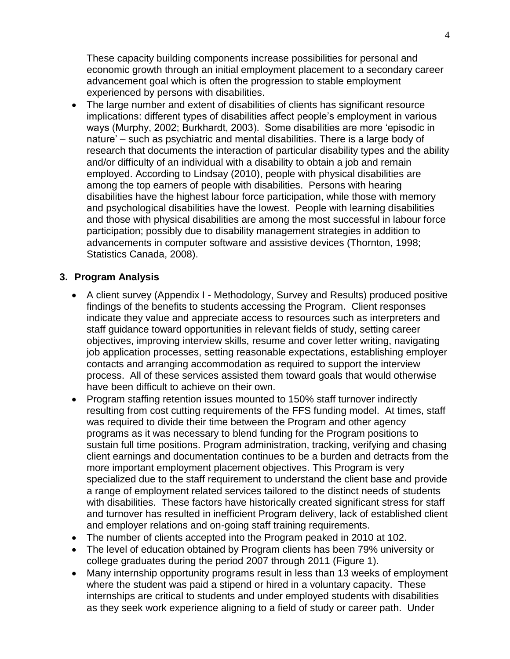These capacity building components increase possibilities for personal and economic growth through an initial employment placement to a secondary career advancement goal which is often the progression to stable employment experienced by persons with disabilities.

 The large number and extent of disabilities of clients has significant resource implications: different types of disabilities affect people's employment in various ways (Murphy, 2002; Burkhardt, 2003). Some disabilities are more 'episodic in nature' – such as psychiatric and mental disabilities. There is a large body of research that documents the interaction of particular disability types and the ability and/or difficulty of an individual with a disability to obtain a job and remain employed. According to Lindsay (2010), people with physical disabilities are among the top earners of people with disabilities. Persons with hearing disabilities have the highest labour force participation, while those with memory and psychological disabilities have the lowest. People with learning disabilities and those with physical disabilities are among the most successful in labour force participation; possibly due to disability management strategies in addition to advancements in computer software and assistive devices (Thornton, 1998; Statistics Canada, 2008).

#### **3. Program Analysis**

- A client survey (Appendix I Methodology, Survey and Results) produced positive findings of the benefits to students accessing the Program. Client responses indicate they value and appreciate access to resources such as interpreters and staff guidance toward opportunities in relevant fields of study, setting career objectives, improving interview skills, resume and cover letter writing, navigating job application processes, setting reasonable expectations, establishing employer contacts and arranging accommodation as required to support the interview process. All of these services assisted them toward goals that would otherwise have been difficult to achieve on their own.
- Program staffing retention issues mounted to 150% staff turnover indirectly resulting from cost cutting requirements of the FFS funding model. At times, staff was required to divide their time between the Program and other agency programs as it was necessary to blend funding for the Program positions to sustain full time positions. Program administration, tracking, verifying and chasing client earnings and documentation continues to be a burden and detracts from the more important employment placement objectives. This Program is very specialized due to the staff requirement to understand the client base and provide a range of employment related services tailored to the distinct needs of students with disabilities. These factors have historically created significant stress for staff and turnover has resulted in inefficient Program delivery, lack of established client and employer relations and on-going staff training requirements.
- The number of clients accepted into the Program peaked in 2010 at 102.
- The level of education obtained by Program clients has been 79% university or college graduates during the period 2007 through 2011 (Figure 1).
- Many internship opportunity programs result in less than 13 weeks of employment where the student was paid a stipend or hired in a voluntary capacity. These internships are critical to students and under employed students with disabilities as they seek work experience aligning to a field of study or career path. Under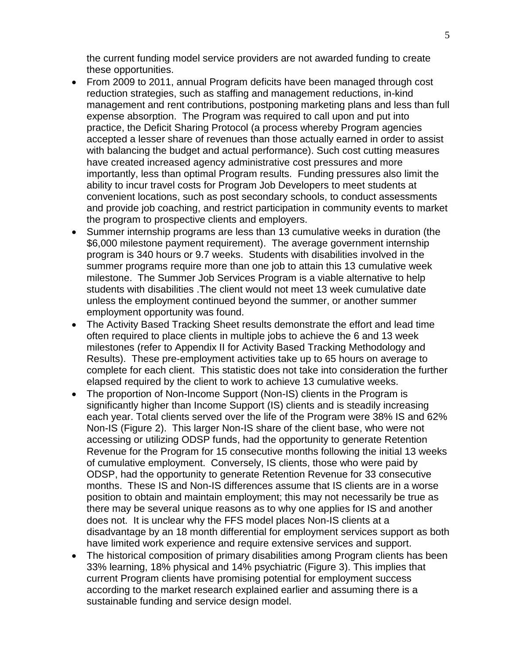the current funding model service providers are not awarded funding to create these opportunities.

- From 2009 to 2011, annual Program deficits have been managed through cost reduction strategies, such as staffing and management reductions, in-kind management and rent contributions, postponing marketing plans and less than full expense absorption. The Program was required to call upon and put into practice, the Deficit Sharing Protocol (a process whereby Program agencies accepted a lesser share of revenues than those actually earned in order to assist with balancing the budget and actual performance). Such cost cutting measures have created increased agency administrative cost pressures and more importantly, less than optimal Program results. Funding pressures also limit the ability to incur travel costs for Program Job Developers to meet students at convenient locations, such as post secondary schools, to conduct assessments and provide job coaching, and restrict participation in community events to market the program to prospective clients and employers.
- Summer internship programs are less than 13 cumulative weeks in duration (the \$6,000 milestone payment requirement). The average government internship program is 340 hours or 9.7 weeks. Students with disabilities involved in the summer programs require more than one job to attain this 13 cumulative week milestone. The Summer Job Services Program is a viable alternative to help students with disabilities .The client would not meet 13 week cumulative date unless the employment continued beyond the summer, or another summer employment opportunity was found.
- The Activity Based Tracking Sheet results demonstrate the effort and lead time often required to place clients in multiple jobs to achieve the 6 and 13 week milestones (refer to Appendix II for Activity Based Tracking Methodology and Results). These pre-employment activities take up to 65 hours on average to complete for each client. This statistic does not take into consideration the further elapsed required by the client to work to achieve 13 cumulative weeks.
- The proportion of Non-Income Support (Non-IS) clients in the Program is significantly higher than Income Support (IS) clients and is steadily increasing each year. Total clients served over the life of the Program were 38% IS and 62% Non-IS (Figure 2). This larger Non-IS share of the client base, who were not accessing or utilizing ODSP funds, had the opportunity to generate Retention Revenue for the Program for 15 consecutive months following the initial 13 weeks of cumulative employment. Conversely, IS clients, those who were paid by ODSP, had the opportunity to generate Retention Revenue for 33 consecutive months. These IS and Non-IS differences assume that IS clients are in a worse position to obtain and maintain employment; this may not necessarily be true as there may be several unique reasons as to why one applies for IS and another does not. It is unclear why the FFS model places Non-IS clients at a disadvantage by an 18 month differential for employment services support as both have limited work experience and require extensive services and support.
- The historical composition of primary disabilities among Program clients has been 33% learning, 18% physical and 14% psychiatric (Figure 3). This implies that current Program clients have promising potential for employment success according to the market research explained earlier and assuming there is a sustainable funding and service design model.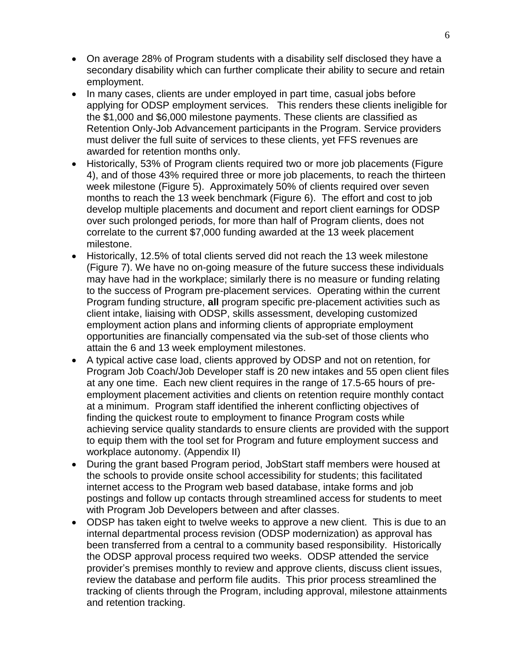- On average 28% of Program students with a disability self disclosed they have a secondary disability which can further complicate their ability to secure and retain employment.
- In many cases, clients are under employed in part time, casual jobs before applying for ODSP employment services. This renders these clients ineligible for the \$1,000 and \$6,000 milestone payments. These clients are classified as Retention Only-Job Advancement participants in the Program. Service providers must deliver the full suite of services to these clients, yet FFS revenues are awarded for retention months only.
- Historically, 53% of Program clients required two or more job placements (Figure 4), and of those 43% required three or more job placements, to reach the thirteen week milestone (Figure 5). Approximately 50% of clients required over seven months to reach the 13 week benchmark (Figure 6). The effort and cost to job develop multiple placements and document and report client earnings for ODSP over such prolonged periods, for more than half of Program clients, does not correlate to the current \$7,000 funding awarded at the 13 week placement milestone.
- Historically, 12.5% of total clients served did not reach the 13 week milestone (Figure 7). We have no on-going measure of the future success these individuals may have had in the workplace; similarly there is no measure or funding relating to the success of Program pre-placement services. Operating within the current Program funding structure, **all** program specific pre-placement activities such as client intake, liaising with ODSP, skills assessment, developing customized employment action plans and informing clients of appropriate employment opportunities are financially compensated via the sub-set of those clients who attain the 6 and 13 week employment milestones.
- A typical active case load, clients approved by ODSP and not on retention, for Program Job Coach/Job Developer staff is 20 new intakes and 55 open client files at any one time. Each new client requires in the range of 17.5-65 hours of preemployment placement activities and clients on retention require monthly contact at a minimum. Program staff identified the inherent conflicting objectives of finding the quickest route to employment to finance Program costs while achieving service quality standards to ensure clients are provided with the support to equip them with the tool set for Program and future employment success and workplace autonomy. (Appendix II)
- During the grant based Program period, JobStart staff members were housed at the schools to provide onsite school accessibility for students; this facilitated internet access to the Program web based database, intake forms and job postings and follow up contacts through streamlined access for students to meet with Program Job Developers between and after classes.
- ODSP has taken eight to twelve weeks to approve a new client. This is due to an internal departmental process revision (ODSP modernization) as approval has been transferred from a central to a community based responsibility. Historically the ODSP approval process required two weeks. ODSP attended the service provider's premises monthly to review and approve clients, discuss client issues, review the database and perform file audits. This prior process streamlined the tracking of clients through the Program, including approval, milestone attainments and retention tracking.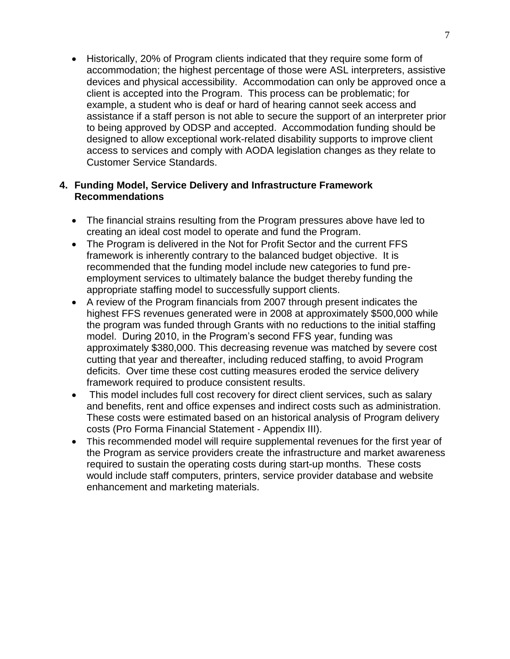Historically, 20% of Program clients indicated that they require some form of accommodation; the highest percentage of those were ASL interpreters, assistive devices and physical accessibility. Accommodation can only be approved once a client is accepted into the Program. This process can be problematic; for example, a student who is deaf or hard of hearing cannot seek access and assistance if a staff person is not able to secure the support of an interpreter prior to being approved by ODSP and accepted. Accommodation funding should be designed to allow exceptional work-related disability supports to improve client access to services and comply with AODA legislation changes as they relate to Customer Service Standards.

#### **4. Funding Model, Service Delivery and Infrastructure Framework Recommendations**

- The financial strains resulting from the Program pressures above have led to creating an ideal cost model to operate and fund the Program.
- The Program is delivered in the Not for Profit Sector and the current FFS framework is inherently contrary to the balanced budget objective. It is recommended that the funding model include new categories to fund preemployment services to ultimately balance the budget thereby funding the appropriate staffing model to successfully support clients.
- A review of the Program financials from 2007 through present indicates the highest FFS revenues generated were in 2008 at approximately \$500,000 while the program was funded through Grants with no reductions to the initial staffing model. During 2010, in the Program's second FFS year, funding was approximately \$380,000. This decreasing revenue was matched by severe cost cutting that year and thereafter, including reduced staffing, to avoid Program deficits. Over time these cost cutting measures eroded the service delivery framework required to produce consistent results.
- This model includes full cost recovery for direct client services, such as salary and benefits, rent and office expenses and indirect costs such as administration. These costs were estimated based on an historical analysis of Program delivery costs (Pro Forma Financial Statement - Appendix III).
- This recommended model will require supplemental revenues for the first year of the Program as service providers create the infrastructure and market awareness required to sustain the operating costs during start-up months. These costs would include staff computers, printers, service provider database and website enhancement and marketing materials.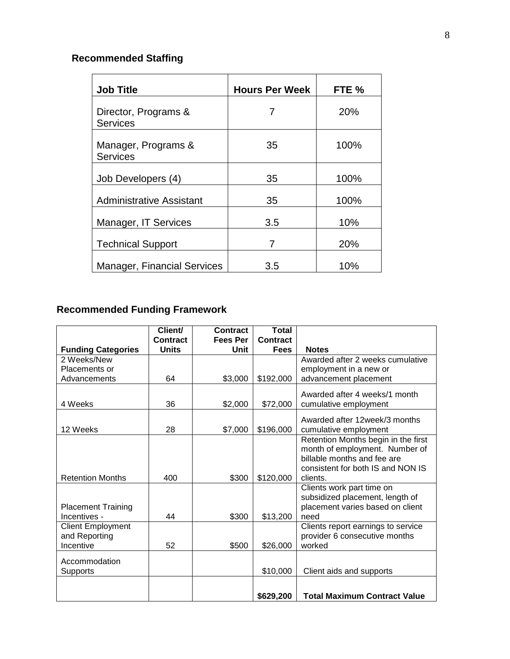# **Recommended Staffing**

| <b>Job Title</b>                        | <b>Hours Per Week</b> | FTE % |
|-----------------------------------------|-----------------------|-------|
| Director, Programs &<br><b>Services</b> |                       | 20%   |
| Manager, Programs &<br><b>Services</b>  | 35                    | 100%  |
| Job Developers (4)                      | 35                    | 100%  |
| Administrative Assistant                | 35                    | 100%  |
| Manager, IT Services                    | 3.5                   | 10%   |
| <b>Technical Support</b>                | 7                     | 20%   |
| <b>Manager, Financial Services</b>      | 3.5                   | 10%   |

# **Recommended Funding Framework**

|                                           | Client/<br><b>Contract</b> | <b>Contract</b><br><b>Fees Per</b> | <b>Total</b><br><b>Contract</b> |                                                                     |
|-------------------------------------------|----------------------------|------------------------------------|---------------------------------|---------------------------------------------------------------------|
| <b>Funding Categories</b>                 | <b>Units</b>               | Unit                               | <b>Fees</b>                     | <b>Notes</b>                                                        |
| 2 Weeks/New                               |                            |                                    |                                 | Awarded after 2 weeks cumulative                                    |
| Placements or                             |                            |                                    |                                 | employment in a new or                                              |
| Advancements                              | 64                         | \$3,000                            | \$192,000                       | advancement placement                                               |
|                                           |                            |                                    |                                 | Awarded after 4 weeks/1 month                                       |
| 4 Weeks                                   | 36                         | \$2,000                            | \$72,000                        | cumulative employment                                               |
|                                           |                            |                                    |                                 |                                                                     |
|                                           |                            |                                    |                                 | Awarded after 12week/3 months                                       |
| 12 Weeks                                  | 28                         | \$7,000                            | \$196,000                       | cumulative employment                                               |
|                                           |                            |                                    |                                 | Retention Months begin in the first                                 |
|                                           |                            |                                    |                                 | month of employment. Number of                                      |
|                                           |                            |                                    |                                 | billable months and fee are                                         |
|                                           |                            |                                    |                                 | consistent for both IS and NON IS                                   |
| <b>Retention Months</b>                   | 400                        | \$300                              | \$120,000                       | clients.                                                            |
|                                           |                            |                                    |                                 | Clients work part time on                                           |
|                                           |                            |                                    |                                 | subsidized placement, length of                                     |
| <b>Placement Training</b><br>Incentives - | 44                         |                                    |                                 | placement varies based on client                                    |
|                                           |                            | \$300                              | \$13,200                        | need                                                                |
| <b>Client Employment</b>                  |                            |                                    |                                 | Clients report earnings to service<br>provider 6 consecutive months |
| and Reporting<br>Incentive                | 52                         | \$500                              | \$26,000                        | worked                                                              |
|                                           |                            |                                    |                                 |                                                                     |
| Accommodation                             |                            |                                    |                                 |                                                                     |
| <b>Supports</b>                           |                            |                                    | \$10,000                        | Client aids and supports                                            |
|                                           |                            |                                    |                                 |                                                                     |
|                                           |                            |                                    | \$629,200                       | <b>Total Maximum Contract Value</b>                                 |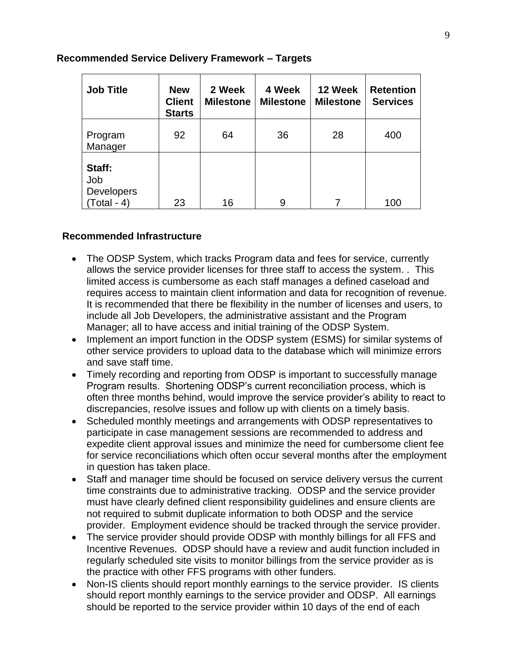#### **Recommended Service Delivery Framework – Targets**

| <b>Job Title</b>                             | <b>New</b><br><b>Client</b><br><b>Starts</b> | 4 Week<br>2 Week<br><b>Milestone</b><br><b>Milestone</b> |    | 12 Week<br><b>Milestone</b> | <b>Retention</b><br><b>Services</b> |
|----------------------------------------------|----------------------------------------------|----------------------------------------------------------|----|-----------------------------|-------------------------------------|
| Program<br>Manager                           | 92                                           | 64                                                       | 36 | 28                          | 400                                 |
| Staff:<br>Job<br>Developers<br>$(Total - 4)$ | 23                                           | 16                                                       | 9  |                             | 100                                 |

#### **Recommended Infrastructure**

- The ODSP System, which tracks Program data and fees for service, currently allows the service provider licenses for three staff to access the system. . This limited access is cumbersome as each staff manages a defined caseload and requires access to maintain client information and data for recognition of revenue. It is recommended that there be flexibility in the number of licenses and users, to include all Job Developers, the administrative assistant and the Program Manager; all to have access and initial training of the ODSP System.
- Implement an import function in the ODSP system (ESMS) for similar systems of other service providers to upload data to the database which will minimize errors and save staff time.
- Timely recording and reporting from ODSP is important to successfully manage Program results. Shortening ODSP's current reconciliation process, which is often three months behind, would improve the service provider's ability to react to discrepancies, resolve issues and follow up with clients on a timely basis.
- Scheduled monthly meetings and arrangements with ODSP representatives to participate in case management sessions are recommended to address and expedite client approval issues and minimize the need for cumbersome client fee for service reconciliations which often occur several months after the employment in question has taken place.
- Staff and manager time should be focused on service delivery versus the current time constraints due to administrative tracking. ODSP and the service provider must have clearly defined client responsibility guidelines and ensure clients are not required to submit duplicate information to both ODSP and the service provider. Employment evidence should be tracked through the service provider.
- The service provider should provide ODSP with monthly billings for all FFS and Incentive Revenues. ODSP should have a review and audit function included in regularly scheduled site visits to monitor billings from the service provider as is the practice with other FFS programs with other funders.
- Non-IS clients should report monthly earnings to the service provider. IS clients should report monthly earnings to the service provider and ODSP. All earnings should be reported to the service provider within 10 days of the end of each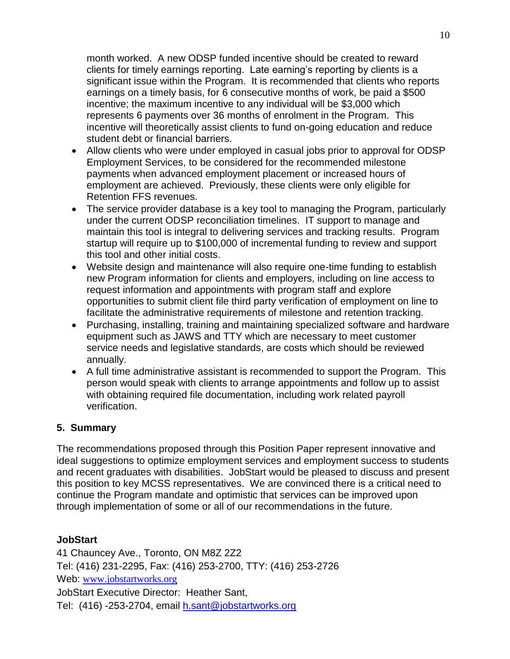month worked. A new ODSP funded incentive should be created to reward clients for timely earnings reporting. Late earning's reporting by clients is a significant issue within the Program. It is recommended that clients who reports earnings on a timely basis, for 6 consecutive months of work, be paid a \$500 incentive; the maximum incentive to any individual will be \$3,000 which represents 6 payments over 36 months of enrolment in the Program. This incentive will theoretically assist clients to fund on-going education and reduce student debt or financial barriers.

- Allow clients who were under employed in casual jobs prior to approval for ODSP Employment Services, to be considered for the recommended milestone payments when advanced employment placement or increased hours of employment are achieved. Previously, these clients were only eligible for Retention FFS revenues.
- The service provider database is a key tool to managing the Program, particularly under the current ODSP reconciliation timelines. IT support to manage and maintain this tool is integral to delivering services and tracking results. Program startup will require up to \$100,000 of incremental funding to review and support this tool and other initial costs.
- Website design and maintenance will also require one-time funding to establish new Program information for clients and employers, including on line access to request information and appointments with program staff and explore opportunities to submit client file third party verification of employment on line to facilitate the administrative requirements of milestone and retention tracking.
- Purchasing, installing, training and maintaining specialized software and hardware equipment such as JAWS and TTY which are necessary to meet customer service needs and legislative standards, are costs which should be reviewed annually.
- A full time administrative assistant is recommended to support the Program. This person would speak with clients to arrange appointments and follow up to assist with obtaining required file documentation, including work related payroll verification.

### **5. Summary**

The recommendations proposed through this Position Paper represent innovative and ideal suggestions to optimize employment services and employment success to students and recent graduates with disabilities. JobStart would be pleased to discuss and present this position to key MCSS representatives. We are convinced there is a critical need to continue the Program mandate and optimistic that services can be improved upon through implementation of some or all of our recommendations in the future.

#### **JobStart**

41 Chauncey Ave., Toronto, ON M8Z 2Z2 Tel: (416) 231-2295, Fax: (416) 253-2700, TTY: (416) 253-2726 Web: www.jobstartworks.org JobStart Executive Director: Heather Sant, Tel: (416) -253-2704, email [h.sant@jobstartworks.org](mailto:h.sant@jobstartworks.org)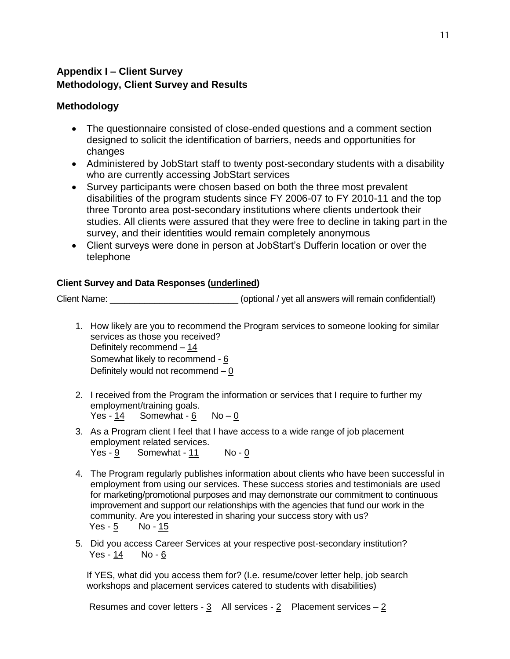### **Appendix I – Client Survey Methodology, Client Survey and Results**

## **Methodology**

- The questionnaire consisted of close-ended questions and a comment section designed to solicit the identification of barriers, needs and opportunities for changes
- Administered by JobStart staff to twenty post-secondary students with a disability who are currently accessing JobStart services
- Survey participants were chosen based on both the three most prevalent disabilities of the program students since FY 2006-07 to FY 2010-11 and the top three Toronto area post-secondary institutions where clients undertook their studies. All clients were assured that they were free to decline in taking part in the survey, and their identities would remain completely anonymous
- Client surveys were done in person at JobStart's Dufferin location or over the telephone

#### **Client Survey and Data Responses (underlined)**

Client Name:  $\Box$  (optional / yet all answers will remain confidential!)

- 1. How likely are you to recommend the Program services to someone looking for similar services as those you received? Definitely recommend – 14 Somewhat likely to recommend - 6 Definitely would not recommend – 0
- 2. I received from the Program the information or services that I require to further my employment/training goals. Yes -  $14$  Somewhat -  $6$  No -  $0$
- 3. As a Program client I feel that I have access to a wide range of job placement employment related services.
	- Yes  $\frac{9}{2}$  Somewhat  $\frac{11}{2}$  No 0
- 4. The Program regularly publishes information about clients who have been successful in employment from using our services. These success stories and testimonials are used for marketing/promotional purposes and may demonstrate our commitment to continuous improvement and support our relationships with the agencies that fund our work in the community. Are you interested in sharing your success story with us? Yes -  $5$  No -  $15$
- 5. Did you access Career Services at your respective post-secondary institution? Yes - 14 No - 6

If YES, what did you access them for? (I.e. resume/cover letter help, job search workshops and placement services catered to students with disabilities)

Resumes and cover letters -  $3$  All services -  $2$  Placement services -  $2$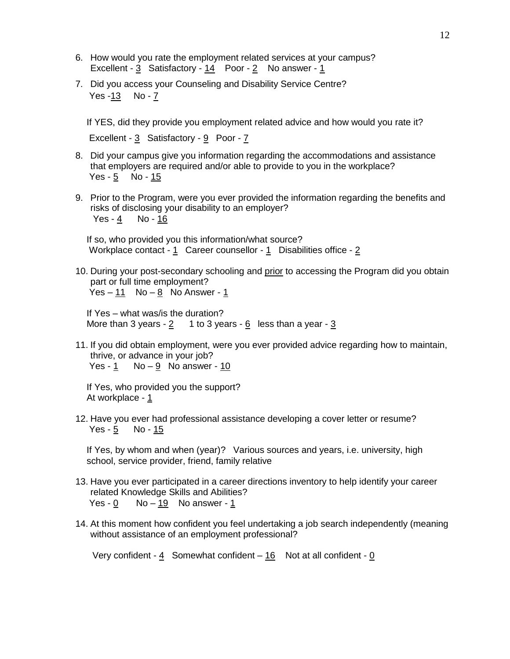- 6. How would you rate the employment related services at your campus? Excellent -  $3$  Satisfactory -  $14$  Poor -  $2$  No answer -  $1$
- 7. Did you access your Counseling and Disability Service Centre? Yes -13 No - 7

If YES, did they provide you employment related advice and how would you rate it?

Excellent - 3 Satisfactory - 9 Poor - 7

- 8. Did your campus give you information regarding the accommodations and assistance that employers are required and/or able to provide to you in the workplace? Yes -  $5$  No -  $15$
- 9. Prior to the Program, were you ever provided the information regarding the benefits and risks of disclosing your disability to an employer? Yes -  $\frac{4}{5}$  No -  $\frac{16}{5}$

If so, who provided you this information/what source? Workplace contact - 1 Career counsellor - 1 Disabilities office - 2

10. During your post-secondary schooling and prior to accessing the Program did you obtain part or full time employment? Yes –  $11$  No –  $8$  No Answer -  $1$ 

If Yes – what was/is the duration? More than 3 years -  $2 \t1$  to 3 years -  $6$  less than a year -  $3$ 

11. If you did obtain employment, were you ever provided advice regarding how to maintain, thrive, or advance in your job? Yes -  $1$  No  $-9$  No answer -  $10$ 

If Yes, who provided you the support? At workplace - 1

12. Have you ever had professional assistance developing a cover letter or resume? Yes - 5 No - 15

If Yes, by whom and when (year)? Various sources and years, i.e. university, high school, service provider, friend, family relative

- 13. Have you ever participated in a career directions inventory to help identify your career related Knowledge Skills and Abilities? Yes -  $0$  No  $-19$  No answer - 1
- 14. At this moment how confident you feel undertaking a job search independently (meaning without assistance of an employment professional?

Very confident - 4 Somewhat confident – 16 Not at all confident - 0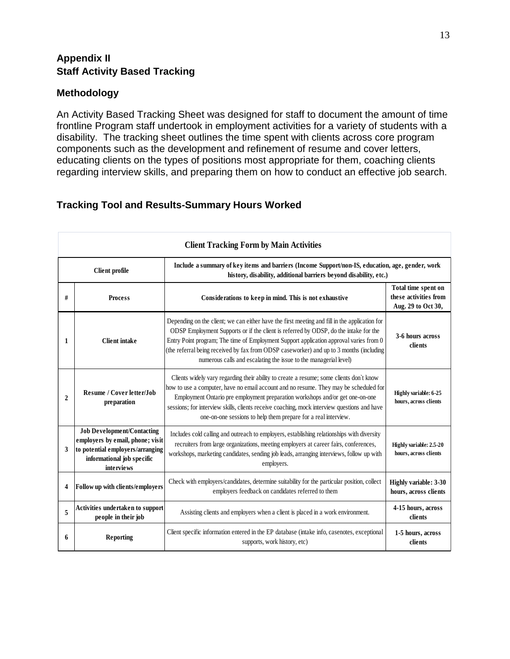### **Appendix II Staff Activity Based Tracking**

#### **Methodology**

An Activity Based Tracking Sheet was designed for staff to document the amount of time frontline Program staff undertook in employment activities for a variety of students with a disability. The tracking sheet outlines the time spent with clients across core program components such as the development and refinement of resume and cover letters, educating clients on the types of positions most appropriate for them, coaching clients regarding interview skills, and preparing them on how to conduct an effective job search.

### **Tracking Tool and Results-Summary Hours Worked**

| <b>Client Tracking Form by Main Activities</b>                                                                                                                                                 |                                                                                                                                                       |                                                                                                                                                                                                                                                                                                                                                                                                                                                |                                                                    |  |  |  |
|------------------------------------------------------------------------------------------------------------------------------------------------------------------------------------------------|-------------------------------------------------------------------------------------------------------------------------------------------------------|------------------------------------------------------------------------------------------------------------------------------------------------------------------------------------------------------------------------------------------------------------------------------------------------------------------------------------------------------------------------------------------------------------------------------------------------|--------------------------------------------------------------------|--|--|--|
| Include a summary of key items and barriers (Income Support/non-IS, education, age, gender, work<br><b>Client profile</b><br>history, disability, additional barriers beyond disability, etc.) |                                                                                                                                                       |                                                                                                                                                                                                                                                                                                                                                                                                                                                |                                                                    |  |  |  |
| #                                                                                                                                                                                              | <b>Process</b>                                                                                                                                        | Considerations to keep in mind. This is not exhaustive                                                                                                                                                                                                                                                                                                                                                                                         | Total time spent on<br>these activities from<br>Aug. 29 to Oct 30, |  |  |  |
| 1                                                                                                                                                                                              | <b>Client</b> intake                                                                                                                                  | Depending on the client; we can either have the first meeting and fill in the application for<br>ODSP Employment Supports or if the client is referred by ODSP, do the intake for the<br>Entry Point program; The time of Employment Support application approval varies from 0<br>(the referral being received by fax from ODSP caseworker) and up to 3 months (including<br>numerous calls and escalating the issue to the managerial level) | 3-6 hours across<br>clients                                        |  |  |  |
| $\overline{c}$                                                                                                                                                                                 | <b>Resume / Cover letter/Job</b><br>preparation                                                                                                       | Clients widely vary regarding their ability to create a resume; some clients don't know<br>how to use a computer, have no email account and no resume. They may be scheduled for<br>Employment Ontario pre employment preparation workshops and/or get one-on-one<br>sessions; for interview skills, clients receive coaching, mock interview questions and have<br>one-on-one sessions to help them prepare for a real interview.             | Highly variable: 6-25<br>hours, across clients                     |  |  |  |
| 3                                                                                                                                                                                              | <b>Job Development/Contacting</b><br>employers by email, phone; visit<br>to potential employers/arranging<br>informational job specific<br>interviews | Includes cold calling and outreach to employers, establishing relationships with diversity<br>recruiters from large organizations, meeting employers at career fairs, conferences,<br>workshops, marketing candidates, sending job leads, arranging interviews, follow up with<br>employers.                                                                                                                                                   | Highly variable: 2.5-20<br>hours, across clients                   |  |  |  |
| 4                                                                                                                                                                                              | Follow up with clients/employers                                                                                                                      | Check with employers/candidates, determine suitability for the particular position, collect<br>employers feedback on candidates referred to them                                                                                                                                                                                                                                                                                               | Highly variable: 3-30<br>hours, across clients                     |  |  |  |
| 5                                                                                                                                                                                              | Activities undertaken to support<br>people in their job                                                                                               | Assisting clients and employers when a client is placed in a work environment.                                                                                                                                                                                                                                                                                                                                                                 | 4-15 hours, across<br>clients                                      |  |  |  |
| 6                                                                                                                                                                                              | <b>Reporting</b>                                                                                                                                      | Client specific information entered in the EP database (intake info, casenotes, exceptional<br>supports, work history, etc)                                                                                                                                                                                                                                                                                                                    | 1-5 hours, across<br>clients                                       |  |  |  |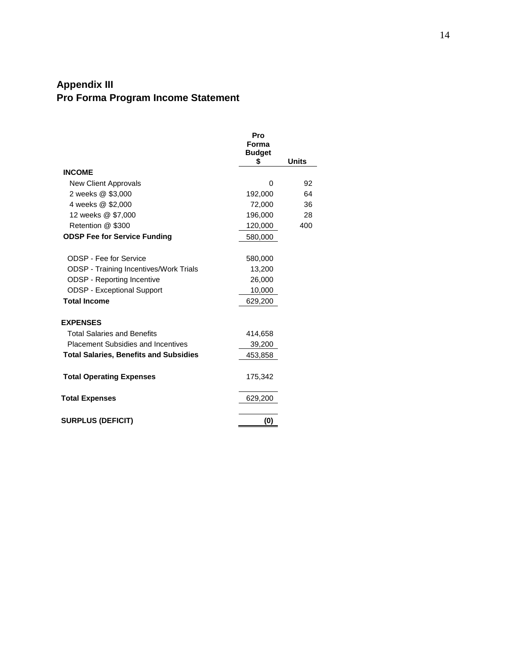## **Appendix III Pro Forma Program Income Statement**

|                                               | Pro<br>Forma<br><b>Budget</b> |       |
|-----------------------------------------------|-------------------------------|-------|
|                                               | \$                            | Units |
| <b>INCOME</b>                                 |                               |       |
| New Client Approvals                          | 0                             | 92    |
| 2 weeks @ \$3,000                             | 192,000                       | 64    |
| 4 weeks @ \$2,000                             | 72,000                        | 36    |
| 12 weeks @ \$7,000                            | 196,000                       | 28    |
| Retention @ \$300                             | 120,000                       | 400   |
| <b>ODSP Fee for Service Funding</b>           | 580,000                       |       |
|                                               |                               |       |
| <b>ODSP - Fee for Service</b>                 | 580,000                       |       |
| <b>ODSP</b> - Training Incentives/Work Trials | 13,200                        |       |
| <b>ODSP</b> - Reporting Incentive             | 26,000                        |       |
| <b>ODSP - Exceptional Support</b>             | 10,000                        |       |
| <b>Total Income</b>                           | 629,200                       |       |
|                                               |                               |       |
| <b>EXPENSES</b>                               |                               |       |
| <b>Total Salaries and Benefits</b>            | 414,658                       |       |
| <b>Placement Subsidies and Incentives</b>     | 39,200                        |       |
| <b>Total Salaries, Benefits and Subsidies</b> | 453,858                       |       |
|                                               |                               |       |
| <b>Total Operating Expenses</b>               | 175,342                       |       |
|                                               |                               |       |
| <b>Total Expenses</b>                         | 629,200                       |       |
|                                               |                               |       |
| <b>SURPLUS (DEFICIT)</b>                      | (0)                           |       |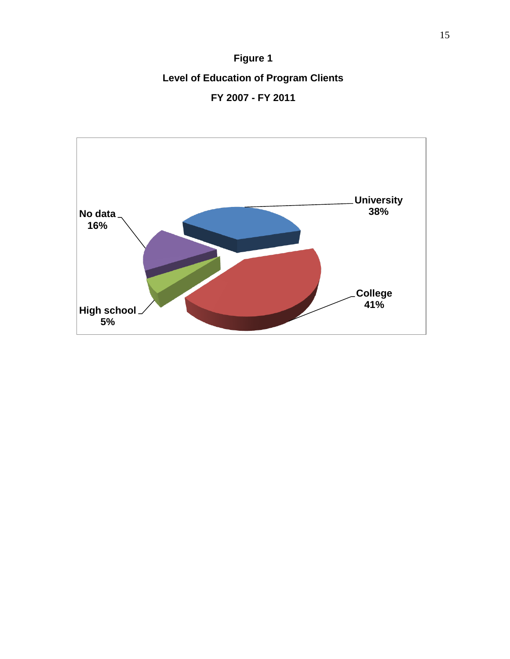**Figure 1 Level of Education of Program Clients FY 2007 - FY 2011**

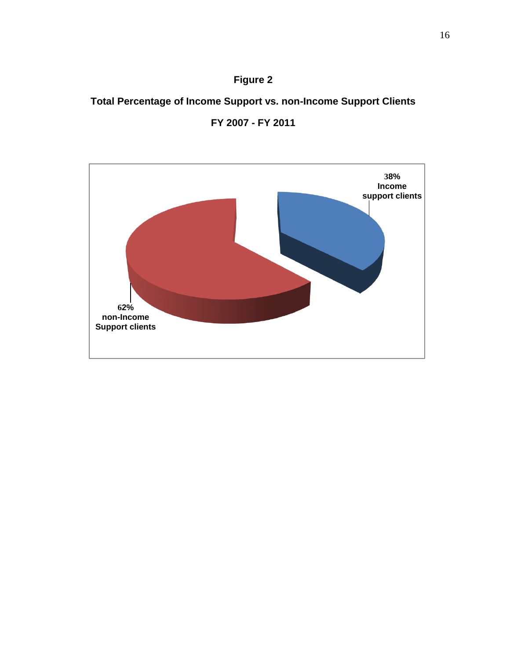## **Total Percentage of Income Support vs. non-Income Support Clients**



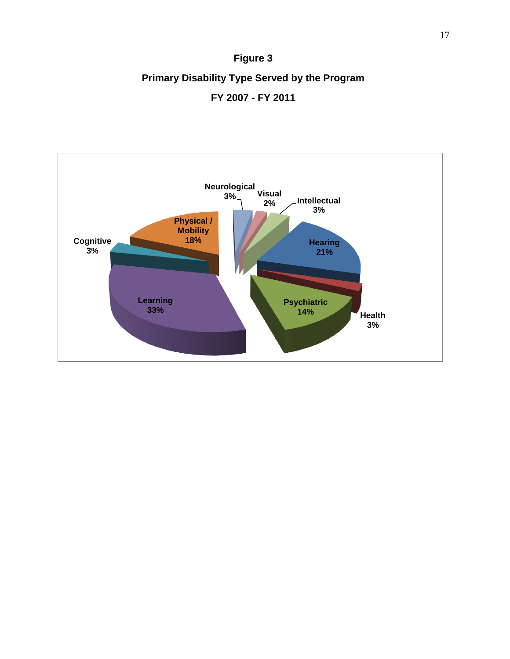# **Figure 3 Primary Disability Type Served by the Program FY 2007 - FY 2011**

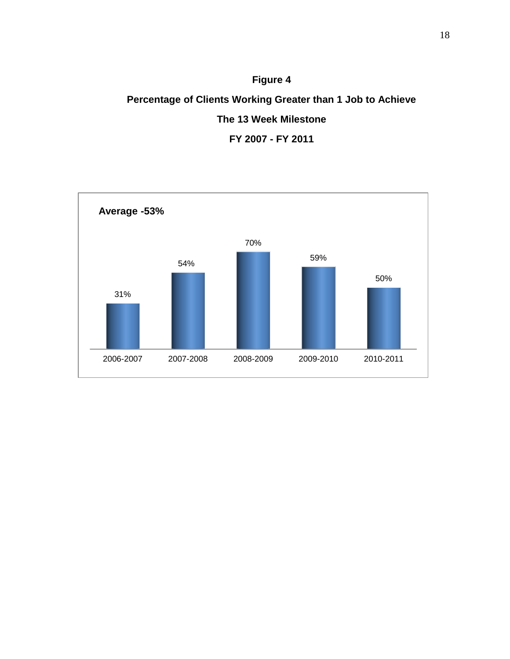# **Figure 4 Percentage of Clients Working Greater than 1 Job to Achieve The 13 Week Milestone FY 2007 - FY 2011**

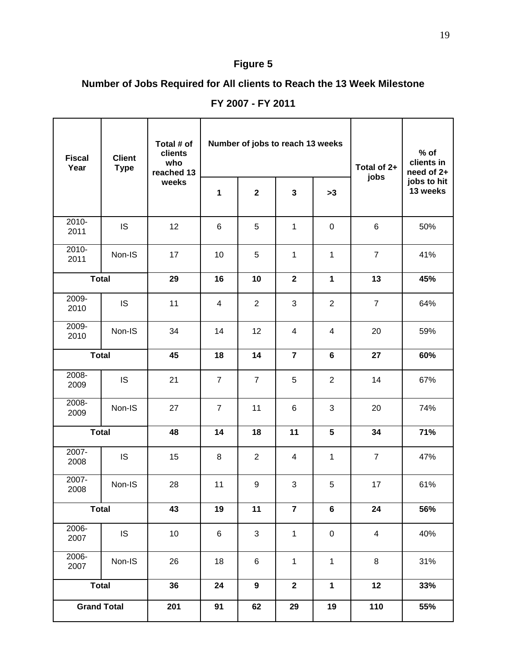## **Number of Jobs Required for All clients to Reach the 13 Week Milestone**

| <b>Fiscal</b><br>Year | <b>Client</b><br><b>Type</b> | Total # of<br>clients<br>who<br>reached 13 |                 | Number of jobs to reach 13 weeks |                |                | Total of 2+<br>jobs     | $%$ of<br>clients in<br>need of 2+<br>jobs to hit<br>13 weeks |
|-----------------------|------------------------------|--------------------------------------------|-----------------|----------------------------------|----------------|----------------|-------------------------|---------------------------------------------------------------|
|                       |                              | weeks                                      | 1               | $\mathbf 2$                      | $\mathbf{3}$   | >3             |                         |                                                               |
| 2010-<br>2011         | <b>IS</b>                    | 12                                         | $6\phantom{1}6$ | 5                                | $\mathbf{1}$   | $\mathbf 0$    | $\,6$                   | 50%                                                           |
| $2010 -$<br>2011      | Non-IS                       | 17                                         | 10              | 5                                | 1              | 1              | $\overline{7}$          | 41%                                                           |
| <b>Total</b>          |                              | 29                                         | 16              | 10                               | $\mathbf{2}$   | $\mathbf{1}$   | 13                      | 45%                                                           |
| 2009-<br>2010         | <b>IS</b>                    | 11                                         | $\overline{4}$  | $\overline{2}$                   | 3              | $\overline{2}$ | $\overline{7}$          | 64%                                                           |
| 2009-<br>2010         | Non-IS                       | 34                                         | 14              | 12                               | $\overline{4}$ | 4              | 20                      | 59%                                                           |
| <b>Total</b>          |                              | 45                                         | 18              | 14                               | $\overline{7}$ | 6              | 27                      | 60%                                                           |
| 2008-<br>2009         | <b>IS</b>                    | 21                                         | $\overline{7}$  | $\overline{7}$                   | 5              | $\overline{2}$ | 14                      | 67%                                                           |
| 2008-<br>2009         | Non-IS                       | 27                                         | $\overline{7}$  | 11                               | 6              | 3              | 20                      | 74%                                                           |
| <b>Total</b>          |                              | 48                                         | 14              | 18                               | 11             | 5              | 34                      | 71%                                                           |
| 2007-<br>2008         | <b>IS</b>                    | 15                                         | 8               | $\overline{2}$                   | $\overline{4}$ | 1              | $\overline{7}$          | 47%                                                           |
| 2007-<br>2008         | Non-IS                       | 28                                         | 11              | 9                                | 3              | 5              | 17                      | 61%                                                           |
| <b>Total</b>          |                              | 43                                         | 19              | 11                               | $\overline{7}$ | 6              | 24                      | 56%                                                           |
| 2006-<br>2007         | IS                           | 10                                         | $\,6$           | 3                                | $\mathbf{1}$   | $\pmb{0}$      | $\overline{\mathbf{4}}$ | 40%                                                           |
| 2006-<br>2007         | Non-IS                       | 26                                         | 18              | 6                                | $\mathbf{1}$   | 1              | $\bf 8$                 | 31%                                                           |
| <b>Total</b>          |                              | 36                                         | 24              | $\boldsymbol{9}$                 | $\mathbf 2$    | $\mathbf{1}$   | 12                      | 33%                                                           |
| <b>Grand Total</b>    |                              | 201                                        | 91              | 62                               | 29             | 19             | 110                     | 55%                                                           |

**FY 2007 - FY 2011**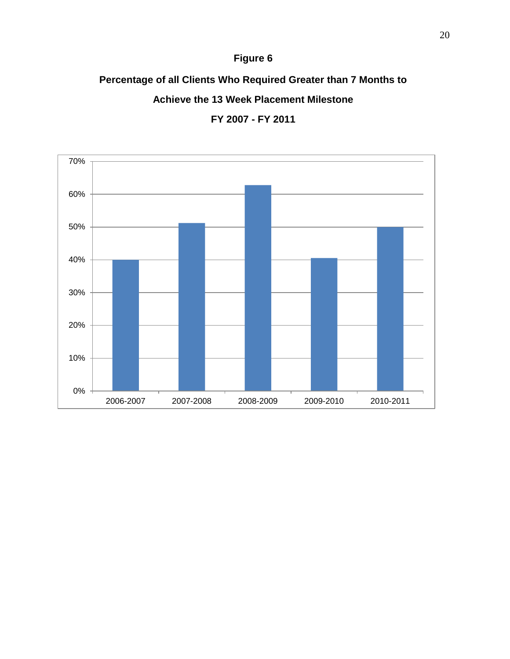# **Percentage of all Clients Who Required Greater than 7 Months to Achieve the 13 Week Placement Milestone**



**FY 2007 - FY 2011**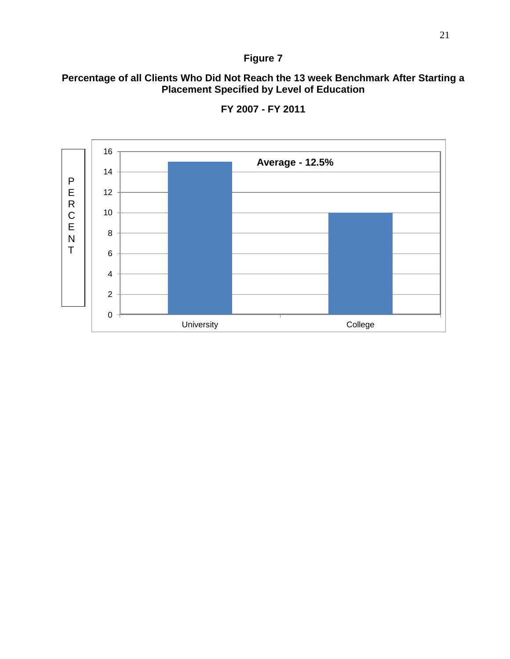#### **Percentage of all Clients Who Did Not Reach the 13 week Benchmark After Starting a Placement Specified by Level of Education**



**FY 2007 - FY 2011**